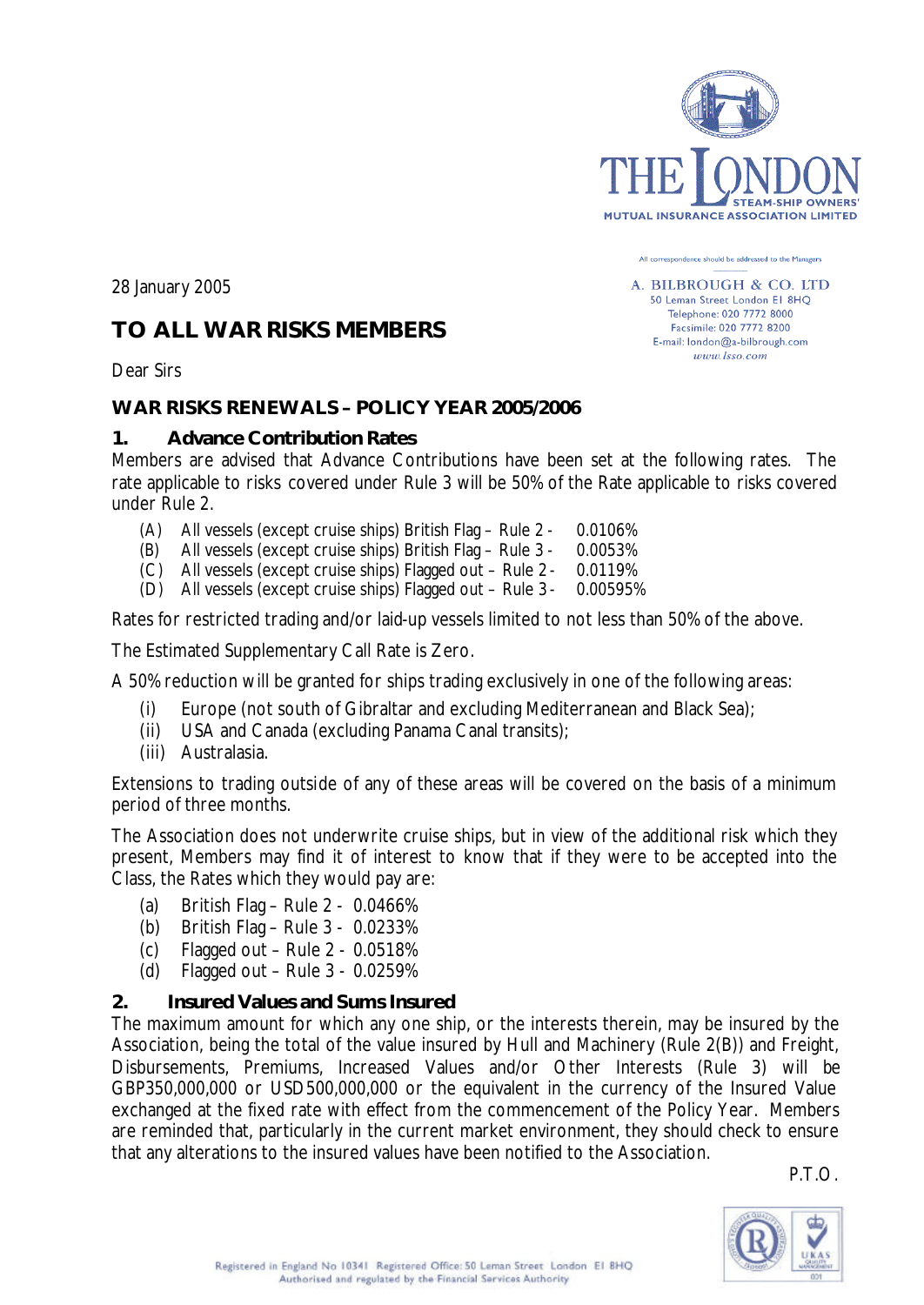

All correspondence should be addressed to the Managers A. BILBROUGH & CO. LTD 50 Leman Street London El 8HQ Telephone: 020 7772 8000 Facsimile: 020 7772 8200 E-mail: london@a-bilbrough.com  $www. lso.com$ 

28 January 2005

# **TO ALL WAR RISKS MEMBERS**

Dear Sirs

# **WAR RISKS RENEWALS – POLICY YEAR 2005/2006**

### **1. Advance Contribution Rates**

Members are advised that Advance Contributions have been set at the following rates. The rate applicable to risks covered under Rule 3 will be 50% of the Rate applicable to risks covered under Rule 2.

- (A) All vessels (except cruise ships) British Flag Rule 2 0.0106%
- (B) All vessels (except cruise ships) British Flag Rule 3 0.0053%
- (C) All vessels (except cruise ships) Flagged out Rule 2 0.0119%
- (D) All vessels (except cruise ships) Flagged out Rule 3 0.00595%

Rates for restricted trading and/or laid-up vessels limited to not less than 50% of the above.

The Estimated Supplementary Call Rate is Zero.

A 50% reduction will be granted for ships trading exclusively in one of the following areas:

- (i) Europe (not south of Gibraltar and excluding Mediterranean and Black Sea);
- (ii) USA and Canada (excluding Panama Canal transits);
- (iii) Australasia.

Extensions to trading outside of any of these areas will be covered on the basis of a minimum period of three months.

The Association does not underwrite cruise ships, but in view of the additional risk which they present, Members may find it of interest to know that if they were to be accepted into the Class, the Rates which they would pay are:

- (a) British Flag Rule 2 0.0466%
- (b) British Flag Rule 3 0.0233%
- (c) Flagged out Rule 2 0.0518%
- (d) Flagged out Rule 3 0.0259%

#### **2. Insured Values and Sums Insured**

The maximum amount for which any one ship, or the interests therein, may be insured by the Association, being the total of the value insured by Hull and Machinery (Rule 2(B)) and Freight, Disbursements, Premiums, Increased Values and/or Other Interests (Rule 3) will be GBP350,000,000 or USD500,000,000 or the equivalent in the currency of the Insured Value exchanged at the fixed rate with effect from the commencement of the Policy Year. Members are reminded that, particularly in the current market environment, they should check to ensure that any alterations to the insured values have been notified to the Association.

P.T.O.